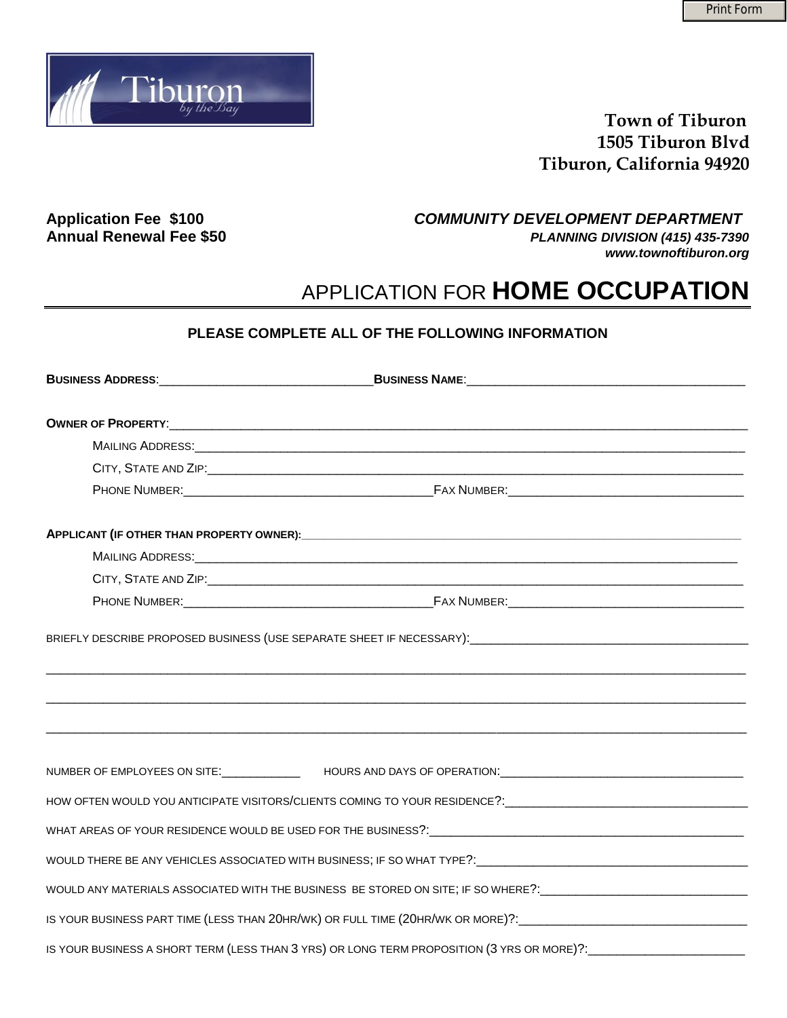

## **Town of Tiburon 1505 Tiburon Blvd Tiburon, California 94920**

**Application Fee \$100** *COMMUNITY DEVELOPMENT DEPARTMENT*  **Annual Renewal Fee \$50** *PLANNING DIVISION (415) 435-7390 www.townoftiburon.org* 

# APPLICATION FOR **HOME OCCUPATION**

### **PLEASE COMPLETE ALL OF THE FOLLOWING INFORMATION**

| MAILING ADDRESS: With the Contract of the Contract of the Contract of the Contract of the Contract of the Contract of the Contract of the Contract of the Contract of the Contract of the Contract of the Contract of the Cont |  |
|--------------------------------------------------------------------------------------------------------------------------------------------------------------------------------------------------------------------------------|--|
|                                                                                                                                                                                                                                |  |
|                                                                                                                                                                                                                                |  |
|                                                                                                                                                                                                                                |  |
| NUMBER OF EMPLOYEES ON SITE: _______________  HOURS AND DAYS OF OPERATION: ___________________________________                                                                                                                 |  |
| HOW OFTEN WOULD YOU ANTICIPATE VISITORS/CLIENTS COMING TO YOUR RESIDENCE?: __________________________________                                                                                                                  |  |
|                                                                                                                                                                                                                                |  |
|                                                                                                                                                                                                                                |  |
| WOULD ANY MATERIALS ASSOCIATED WITH THE BUSINESS BE STORED ON SITE; IF SO WHERE?: ____________________________                                                                                                                 |  |
| IS YOUR BUSINESS PART TIME (LESS THAN 20HR/WK) OR FULL TIME (20HR/WK OR MORE)?:_______________________________                                                                                                                 |  |
| IS YOUR BUSINESS A SHORT TERM (LESS THAN 3 YRS) OR LONG TERM PROPOSITION (3 YRS OR MORE)?: _________________________                                                                                                           |  |